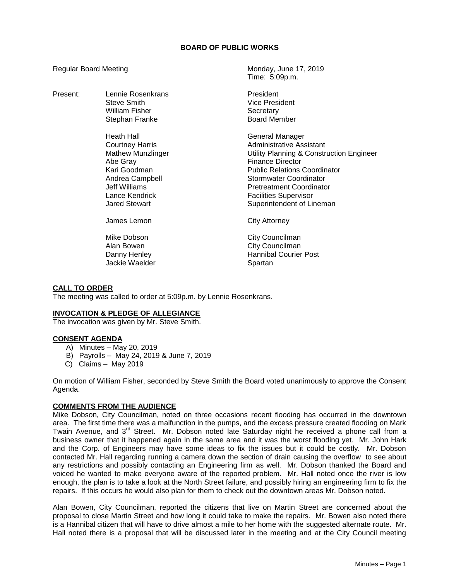## **BOARD OF PUBLIC WORKS**

Time: 5:09p.m.

Regular Board Meeting Monday, June 17, 2019

| Present: | Lennie Rosenkrans<br>Steve Smith<br>William Fisher<br>Stephan Franke                                                                                                | President<br><b>Vice President</b><br>Secretary<br><b>Board Member</b>                                                                                                                                                                                                              |
|----------|---------------------------------------------------------------------------------------------------------------------------------------------------------------------|-------------------------------------------------------------------------------------------------------------------------------------------------------------------------------------------------------------------------------------------------------------------------------------|
|          | Heath Hall<br>Courtney Harris<br><b>Mathew Munzlinger</b><br>Abe Gray<br>Kari Goodman<br>Andrea Campbell<br>Jeff Williams<br>Lance Kendrick<br><b>Jared Stewart</b> | General Manager<br>Administrative Assistant<br>Utility Planning & Construction Engineer<br><b>Finance Director</b><br><b>Public Relations Coordinator</b><br>Stormwater Coordinator<br><b>Pretreatment Coordinator</b><br><b>Facilities Supervisor</b><br>Superintendent of Lineman |
|          | James Lemon                                                                                                                                                         | City Attorney                                                                                                                                                                                                                                                                       |
|          | Mike Dobson<br>Alan Bowen<br>Danny Henley<br>Jackie Waelder                                                                                                         | City Councilman<br>City Councilman<br><b>Hannibal Courier Post</b><br>Spartan                                                                                                                                                                                                       |

## **CALL TO ORDER**

The meeting was called to order at 5:09p.m. by Lennie Rosenkrans.

## **INVOCATION & PLEDGE OF ALLEGIANCE**

The invocation was given by Mr. Steve Smith.

### **CONSENT AGENDA**

- A) Minutes May 20, 2019
- B) Payrolls May 24, 2019 & June 7, 2019
- C) Claims May 2019

On motion of William Fisher, seconded by Steve Smith the Board voted unanimously to approve the Consent Agenda.

## **COMMENTS FROM THE AUDIENCE**

Mike Dobson, City Councilman, noted on three occasions recent flooding has occurred in the downtown area. The first time there was a malfunction in the pumps, and the excess pressure created flooding on Mark Twain Avenue, and 3<sup>rd</sup> Street. Mr. Dobson noted late Saturday night he received a phone call from a business owner that it happened again in the same area and it was the worst flooding yet. Mr. John Hark and the Corp. of Engineers may have some ideas to fix the issues but it could be costly. Mr. Dobson contacted Mr. Hall regarding running a camera down the section of drain causing the overflow to see about any restrictions and possibly contacting an Engineering firm as well. Mr. Dobson thanked the Board and voiced he wanted to make everyone aware of the reported problem. Mr. Hall noted once the river is low enough, the plan is to take a look at the North Street failure, and possibly hiring an engineering firm to fix the repairs. If this occurs he would also plan for them to check out the downtown areas Mr. Dobson noted.

Alan Bowen, City Councilman, reported the citizens that live on Martin Street are concerned about the proposal to close Martin Street and how long it could take to make the repairs. Mr. Bowen also noted there is a Hannibal citizen that will have to drive almost a mile to her home with the suggested alternate route. Mr. Hall noted there is a proposal that will be discussed later in the meeting and at the City Council meeting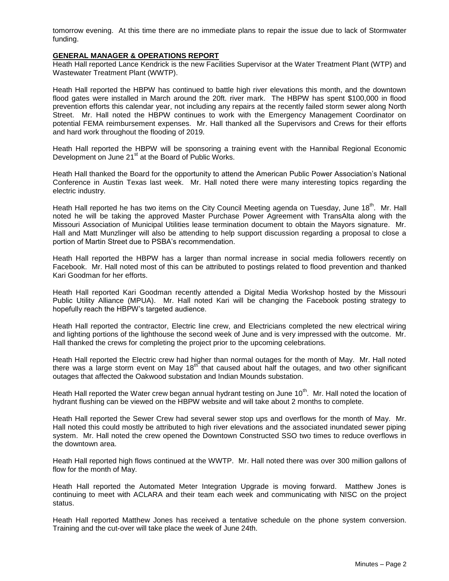tomorrow evening. At this time there are no immediate plans to repair the issue due to lack of Stormwater funding.

### **GENERAL MANAGER & OPERATIONS REPORT**

Heath Hall reported Lance Kendrick is the new Facilities Supervisor at the Water Treatment Plant (WTP) and Wastewater Treatment Plant (WWTP).

Heath Hall reported the HBPW has continued to battle high river elevations this month, and the downtown flood gates were installed in March around the 20ft. river mark. The HBPW has spent \$100,000 in flood prevention efforts this calendar year, not including any repairs at the recently failed storm sewer along North Street. Mr. Hall noted the HBPW continues to work with the Emergency Management Coordinator on potential FEMA reimbursement expenses. Mr. Hall thanked all the Supervisors and Crews for their efforts and hard work throughout the flooding of 2019.

Heath Hall reported the HBPW will be sponsoring a training event with the Hannibal Regional Economic Development on June 21<sup>st</sup> at the Board of Public Works.

Heath Hall thanked the Board for the opportunity to attend the American Public Power Association's National Conference in Austin Texas last week. Mr. Hall noted there were many interesting topics regarding the electric industry.

Heath Hall reported he has two items on the City Council Meeting agenda on Tuesday, June 18<sup>th</sup>. Mr. Hall noted he will be taking the approved Master Purchase Power Agreement with TransAlta along with the Missouri Association of Municipal Utilities lease termination document to obtain the Mayors signature. Mr. Hall and Matt Munzlinger will also be attending to help support discussion regarding a proposal to close a portion of Martin Street due to PSBA's recommendation.

Heath Hall reported the HBPW has a larger than normal increase in social media followers recently on Facebook. Mr. Hall noted most of this can be attributed to postings related to flood prevention and thanked Kari Goodman for her efforts.

Heath Hall reported Kari Goodman recently attended a Digital Media Workshop hosted by the Missouri Public Utility Alliance (MPUA). Mr. Hall noted Kari will be changing the Facebook posting strategy to hopefully reach the HBPW's targeted audience.

Heath Hall reported the contractor, Electric line crew, and Electricians completed the new electrical wiring and lighting portions of the lighthouse the second week of June and is very impressed with the outcome. Mr. Hall thanked the crews for completing the project prior to the upcoming celebrations.

Heath Hall reported the Electric crew had higher than normal outages for the month of May. Mr. Hall noted there was a large storm event on May  $18<sup>th</sup>$  that caused about half the outages, and two other significant outages that affected the Oakwood substation and Indian Mounds substation.

Heath Hall reported the Water crew began annual hydrant testing on June 10<sup>th</sup>. Mr. Hall noted the location of hydrant flushing can be viewed on the HBPW website and will take about 2 months to complete.

Heath Hall reported the Sewer Crew had several sewer stop ups and overflows for the month of May. Mr. Hall noted this could mostly be attributed to high river elevations and the associated inundated sewer piping system. Mr. Hall noted the crew opened the Downtown Constructed SSO two times to reduce overflows in the downtown area.

Heath Hall reported high flows continued at the WWTP. Mr. Hall noted there was over 300 million gallons of flow for the month of May.

Heath Hall reported the Automated Meter Integration Upgrade is moving forward. Matthew Jones is continuing to meet with ACLARA and their team each week and communicating with NISC on the project status.

Heath Hall reported Matthew Jones has received a tentative schedule on the phone system conversion. Training and the cut-over will take place the week of June 24th.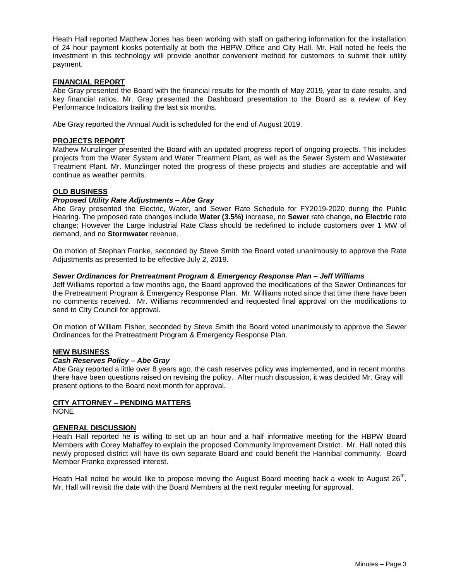Heath Hall reported Matthew Jones has been working with staff on gathering information for the installation of 24 hour payment kiosks potentially at both the HBPW Office and City Hall. Mr. Hall noted he feels the investment in this technology will provide another convenient method for customers to submit their utility payment.

## **FINANCIAL REPORT**

Abe Gray presented the Board with the financial results for the month of May 2019, year to date results, and key financial ratios. Mr. Gray presented the Dashboard presentation to the Board as a review of Key Performance Indicators trailing the last six months.

Abe Gray reported the Annual Audit is scheduled for the end of August 2019.

### **PROJECTS REPORT**

Mathew Munzlinger presented the Board with an updated progress report of ongoing projects. This includes projects from the Water System and Water Treatment Plant, as well as the Sewer System and Wastewater Treatment Plant. Mr. Munzlinger noted the progress of these projects and studies are acceptable and will continue as weather permits.

### **OLD BUSINESS**

#### *Proposed Utility Rate Adjustments – Abe Gray*

Abe Gray presented the Electric, Water, and Sewer Rate Schedule for FY2019-2020 during the Public Hearing. The proposed rate changes include **Water (3.5%)** increase, no **Sewer** rate change**, no Electric** rate change; However the Large Industrial Rate Class should be redefined to include customers over 1 MW of demand, and no **Stormwater** revenue.

On motion of Stephan Franke, seconded by Steve Smith the Board voted unanimously to approve the Rate Adjustments as presented to be effective July 2, 2019.

### *Sewer Ordinances for Pretreatment Program & Emergency Response Plan – Jeff Williams*

Jeff Williams reported a few months ago, the Board approved the modifications of the Sewer Ordinances for the Pretreatment Program & Emergency Response Plan. Mr. Williams noted since that time there have been no comments received. Mr. Williams recommended and requested final approval on the modifications to send to City Council for approval.

On motion of William Fisher, seconded by Steve Smith the Board voted unanimously to approve the Sewer Ordinances for the Pretreatment Program & Emergency Response Plan.

## **NEW BUSINESS**

#### *Cash Reserves Policy – Abe Gray*

Abe Gray reported a little over 8 years ago, the cash reserves policy was implemented, and in recent months there have been questions raised on revising the policy. After much discussion, it was decided Mr. Gray will present options to the Board next month for approval.

#### **CITY ATTORNEY – PENDING MATTERS**

NONE

## **GENERAL DISCUSSION**

Heath Hall reported he is willing to set up an hour and a half informative meeting for the HBPW Board Members with Corey Mahaffey to explain the proposed Community Improvement District. Mr. Hall noted this newly proposed district will have its own separate Board and could benefit the Hannibal community. Board Member Franke expressed interest.

Heath Hall noted he would like to propose moving the August Board meeting back a week to August 26<sup>th</sup>. Mr. Hall will revisit the date with the Board Members at the next regular meeting for approval.